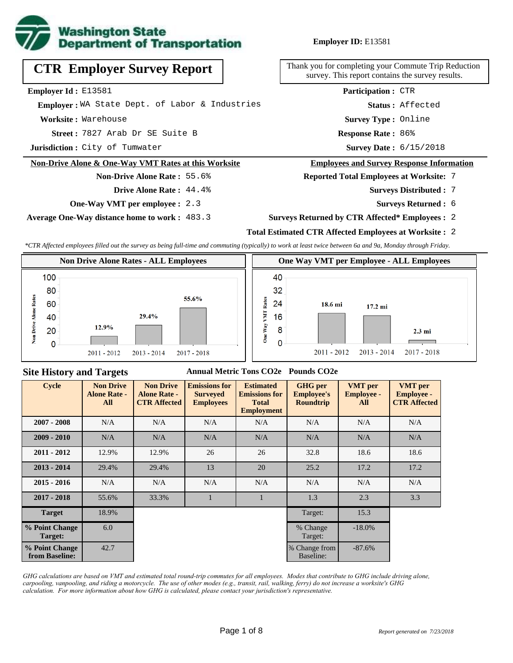

**Employer ID:** E13581

**CTR Employer Survey Report**

**Employer Id :** E13581

 **Employer :** WA State Dept. of Labor & Industries

**Worksite :** Warehouse

7827 Arab Dr SE Suite B **Response Rate : Street :**

**Jurisdiction :** City of Tumwater

#### **Non-Drive Alone & One-Way VMT Rates at this Worksite**

**Drive Alone Rate :** 44.4%

**Non-Drive Alone Rate :** 55.6%

**One-Way VMT per employee :** 2.3

**Average One-Way distance home to work :** 483.3

Thank you for completing your Commute Trip Reduction survey. This report contains the survey results.

> **Survey Type :** Online **Status :** Affected **Participation :** CTR

Response Rate: 86%

Survey Date: 6/15/2018

#### **Employees and Survey Response Information**

**Reported Total Employees at Worksite:** 7

- 7 **Surveys Distributed :**
	- **Surveys Returned :** 6
- **Surveys Returned by CTR Affected\* Employees :** 2

## **Total Estimated CTR Affected Employees at Worksite :** 2

*\*CTR Affected employees filled out the survey as being full-time and commuting (typically) to work at least twice between 6a and 9a, Monday through Friday.*



### **Site History and Targets**

#### **Annual Metric Tons CO2e Pounds CO2e**

| <b>Cycle</b>                     | <b>Non Drive</b><br><b>Alone Rate -</b><br>All | <b>Non Drive</b><br><b>Alone Rate -</b><br><b>CTR Affected</b> | <b>Emissions for</b><br><b>Surveyed</b><br><b>Employees</b> | <b>Estimated</b><br><b>Emissions for</b><br><b>Total</b><br><b>Employment</b> | <b>GHG</b> per<br><b>Employee's</b><br><b>Roundtrip</b> | <b>VMT</b> per<br><b>Employee -</b><br>All | <b>VMT</b> per<br><b>Employee -</b><br><b>CTR Affected</b> |
|----------------------------------|------------------------------------------------|----------------------------------------------------------------|-------------------------------------------------------------|-------------------------------------------------------------------------------|---------------------------------------------------------|--------------------------------------------|------------------------------------------------------------|
| $2007 - 2008$                    | N/A                                            | N/A                                                            | N/A                                                         | N/A                                                                           | N/A                                                     | N/A                                        | N/A                                                        |
| $2009 - 2010$                    | N/A                                            | N/A                                                            | N/A                                                         | N/A                                                                           | N/A                                                     | N/A                                        | N/A                                                        |
| $2011 - 2012$                    | 12.9%                                          | 12.9%                                                          | 26                                                          | 26                                                                            | 32.8                                                    | 18.6                                       | 18.6                                                       |
| $2013 - 2014$                    | 29.4%                                          | 29.4%                                                          | 13                                                          | 20                                                                            | 25.2                                                    | 17.2                                       | 17.2                                                       |
| $2015 - 2016$                    | N/A                                            | N/A                                                            | N/A                                                         | N/A                                                                           | N/A                                                     | N/A                                        | N/A                                                        |
| $2017 - 2018$                    | 55.6%                                          | 33.3%                                                          | $\mathbf{1}$                                                |                                                                               | 1.3                                                     | 2.3                                        | 3.3                                                        |
| <b>Target</b>                    | 18.9%                                          |                                                                |                                                             |                                                                               | Target:                                                 | 15.3                                       |                                                            |
| % Point Change<br>Target:        | 6.0                                            |                                                                |                                                             |                                                                               | % Change<br>Target:                                     | $-18.0%$                                   |                                                            |
| % Point Change<br>from Baseline: | 42.7                                           |                                                                |                                                             |                                                                               | % Change from<br>Baseline:                              | $-87.6%$                                   |                                                            |

*GHG calculations are based on VMT and estimated total round-trip commutes for all employees. Modes that contribute to GHG include driving alone, carpooling, vanpooling, and riding a motorcycle. The use of other modes (e.g., transit, rail, walking, ferry) do not increase a worksite's GHG calculation. For more information about how GHG is calculated, please contact your jurisdiction's representative.*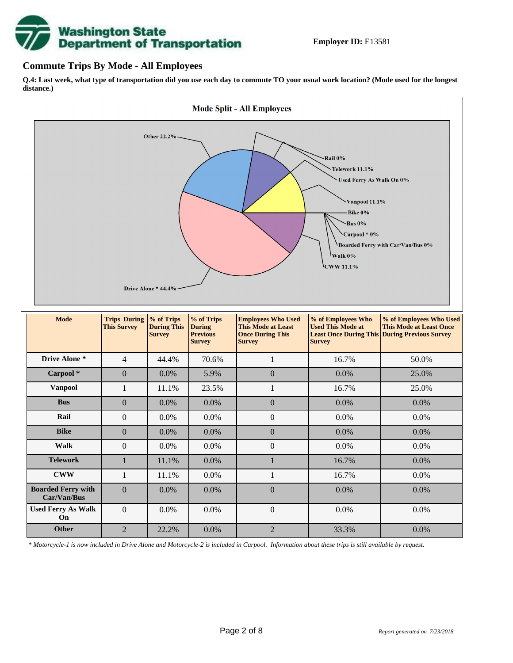

## **Commute Trips By Mode - All Employees**

**Q.4: Last week, what type of transportation did you use each day to commute TO your usual work location? (Mode used for the longest distance.)**



*\* Motorcycle-1 is now included in Drive Alone and Motorcycle-2 is included in Carpool. Information about these trips is still available by request.*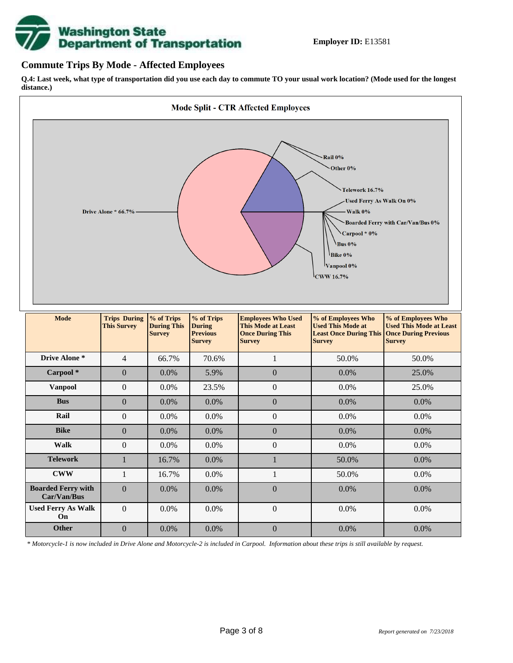

## **Commute Trips By Mode - Affected Employees**

**Q.4: Last week, what type of transportation did you use each day to commute TO your usual work location? (Mode used for the longest distance.)**



*\* Motorcycle-1 is now included in Drive Alone and Motorcycle-2 is included in Carpool. Information about these trips is still available by request.*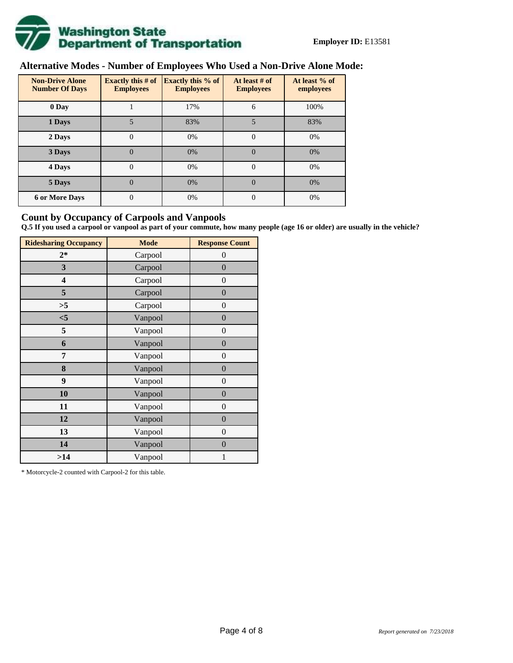

# **Alternative Modes - Number of Employees Who Used a Non-Drive Alone Mode:**

| <b>Non-Drive Alone</b><br><b>Number Of Days</b> | Exactly this $# of$<br><b>Employees</b> | <b>Exactly this % of</b><br><b>Employees</b> | At least # of<br><b>Employees</b> | At least % of<br>employees |  |  |
|-------------------------------------------------|-----------------------------------------|----------------------------------------------|-----------------------------------|----------------------------|--|--|
| 0 Day                                           |                                         | 17%                                          | 6                                 | 100%                       |  |  |
| 1 Days                                          |                                         | 83%                                          | 5                                 | 83%                        |  |  |
| 2 Days                                          | 0                                       | 0%                                           | $\Omega$                          | 0%                         |  |  |
| 3 Days                                          | $\theta$                                | 0%                                           | $\Omega$                          | 0%                         |  |  |
| 4 Days                                          | $\theta$                                | 0%                                           | $\Omega$                          | 0%                         |  |  |
| 5 Days                                          | 0                                       | 0%                                           | $\theta$                          | 0%                         |  |  |
| <b>6 or More Days</b>                           | $\theta$                                | 0%                                           | $\Omega$                          | 0%                         |  |  |

## **Count by Occupancy of Carpools and Vanpools**

**Q.5 If you used a carpool or vanpool as part of your commute, how many people (age 16 or older) are usually in the vehicle?**

| <b>Ridesharing Occupancy</b> | <b>Mode</b> | <b>Response Count</b> |  |  |  |
|------------------------------|-------------|-----------------------|--|--|--|
| $2*$                         | Carpool     | $\theta$              |  |  |  |
| 3                            | Carpool     | $\overline{0}$        |  |  |  |
| 4                            | Carpool     | $\boldsymbol{0}$      |  |  |  |
| 5                            | Carpool     | $\overline{0}$        |  |  |  |
| >5                           | Carpool     | $\boldsymbol{0}$      |  |  |  |
| $<$ 5                        | Vanpool     | $\overline{0}$        |  |  |  |
| 5                            | Vanpool     | $\overline{0}$        |  |  |  |
| 6                            | Vanpool     | $\boldsymbol{0}$      |  |  |  |
| 7                            | Vanpool     | $\boldsymbol{0}$      |  |  |  |
| 8                            | Vanpool     | $\overline{0}$        |  |  |  |
| 9                            | Vanpool     | $\overline{0}$        |  |  |  |
| 10                           | Vanpool     | $\overline{0}$        |  |  |  |
| 11                           | Vanpool     | $\boldsymbol{0}$      |  |  |  |
| 12                           | Vanpool     | $\boldsymbol{0}$      |  |  |  |
| 13                           | Vanpool     | $\overline{0}$        |  |  |  |
| 14                           | Vanpool     | $\overline{0}$        |  |  |  |
| >14                          | Vanpool     | 1                     |  |  |  |

\* Motorcycle-2 counted with Carpool-2 for this table.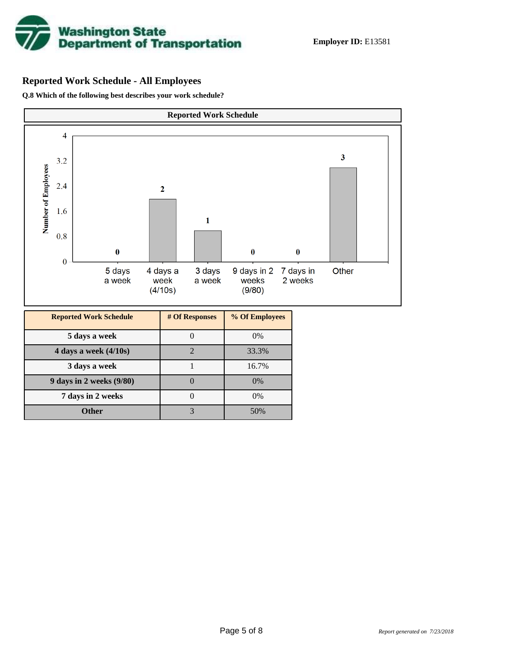

# **Reported Work Schedule - All Employees**

**Q.8 Which of the following best describes your work schedule?**

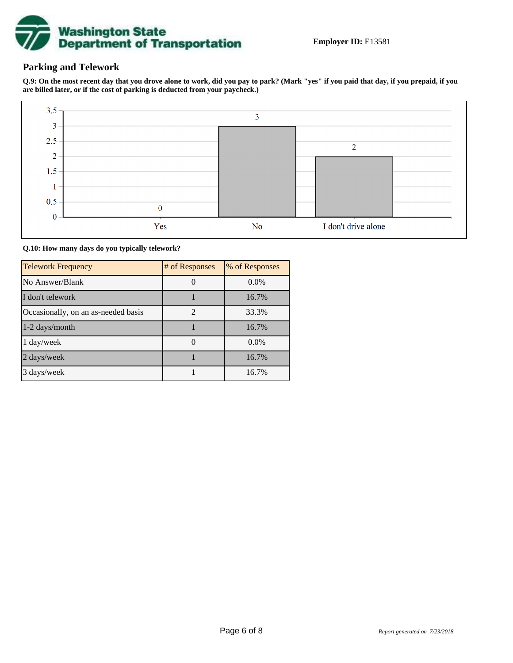

## **Parking and Telework**

**Q.9: On the most recent day that you drove alone to work, did you pay to park? (Mark "yes" if you paid that day, if you prepaid, if you are billed later, or if the cost of parking is deducted from your paycheck.)**



**Q.10: How many days do you typically telework?**

| <b>Telework Frequency</b>           | # of Responses | % of Responses |
|-------------------------------------|----------------|----------------|
| No Answer/Blank                     |                | $0.0\%$        |
| I don't telework                    |                | 16.7%          |
| Occasionally, on an as-needed basis | $\mathfrak{D}$ | 33.3%          |
| 1-2 days/month                      |                | 16.7%          |
| 1 day/week                          |                | $0.0\%$        |
| 2 days/week                         |                | 16.7%          |
| 3 days/week                         |                | 16.7%          |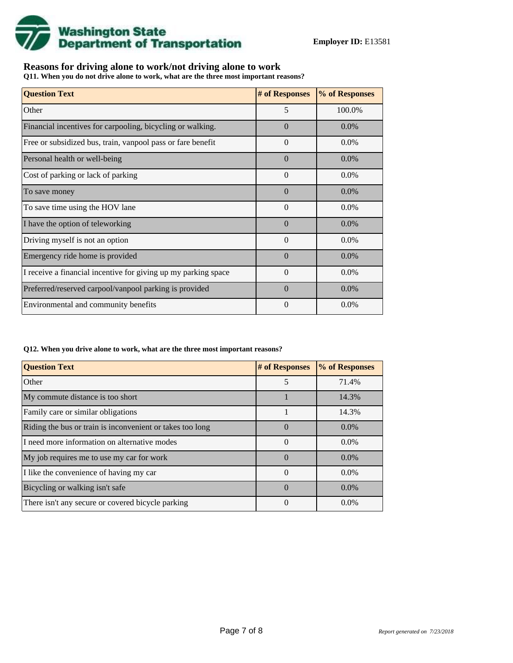

## **Reasons for driving alone to work/not driving alone to work**

**Q11. When you do not drive alone to work, what are the three most important reasons?**

| <b>Question Text</b>                                           | # of Responses | % of Responses |
|----------------------------------------------------------------|----------------|----------------|
| Other                                                          | 5              | 100.0%         |
| Financial incentives for carpooling, bicycling or walking.     | $\Omega$       | $0.0\%$        |
| Free or subsidized bus, train, vanpool pass or fare benefit    | $\Omega$       | 0.0%           |
| Personal health or well-being                                  | $\Omega$       | $0.0\%$        |
| Cost of parking or lack of parking                             | $\Omega$       | $0.0\%$        |
| To save money                                                  | $\theta$       | $0.0\%$        |
| To save time using the HOV lane                                | $\Omega$       | 0.0%           |
| I have the option of teleworking                               | $\Omega$       | $0.0\%$        |
| Driving myself is not an option                                | $\theta$       | 0.0%           |
| Emergency ride home is provided                                | $\Omega$       | $0.0\%$        |
| I receive a financial incentive for giving up my parking space | $\theta$       | 0.0%           |
| Preferred/reserved carpool/vanpool parking is provided         | $\Omega$       | $0.0\%$        |
| Environmental and community benefits                           | $\Omega$       | $0.0\%$        |

#### **Q12. When you drive alone to work, what are the three most important reasons?**

| <b>Question Text</b>                                      | # of Responses | % of Responses |
|-----------------------------------------------------------|----------------|----------------|
| Other                                                     | 5              | 71.4%          |
| My commute distance is too short                          |                | 14.3%          |
| Family care or similar obligations                        |                | 14.3%          |
| Riding the bus or train is inconvenient or takes too long | $\theta$       | $0.0\%$        |
| I need more information on alternative modes              | $\Omega$       | $0.0\%$        |
| My job requires me to use my car for work                 | $\Omega$       | $0.0\%$        |
| I like the convenience of having my car                   | $\Omega$       | $0.0\%$        |
| Bicycling or walking isn't safe                           | $\Omega$       | $0.0\%$        |
| There isn't any secure or covered bicycle parking         | $\theta$       | $0.0\%$        |